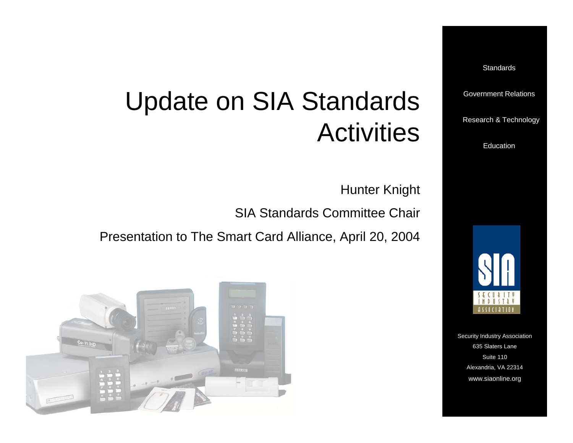**Standards** 

Government Relations

Research & T echnolog y

Education

Hunter Knight

**Activities** 

SIA Standards Committee Chair

Presentation to The Smart Card Alliance, April 20, 2004

Update on SIA Standards





www.siaonline.org w w w.siaonline.org Security Industry Association 635 Slaters Lane Suite 110Alexandria, V A 22314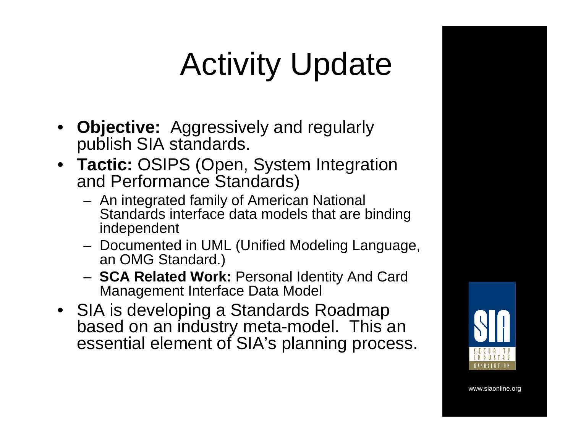# Activity Update

- **Objective:** Aggressively and regularly publish SIA standards.
- **Tactic:** OSIPS (Open, System Integration and Performance Standards)
	- An integrated family of American National Standards interface data models that are binding independent
	- Documented in UML (Unified Modeling Language, an OMG Standard.)
	- **SCA Related Work:** Personal Identity And Card Management Interface Data Model
- SIA is developing a Standards Roadmap based on an industry meta-model. This an essential element of SIA's planning process.

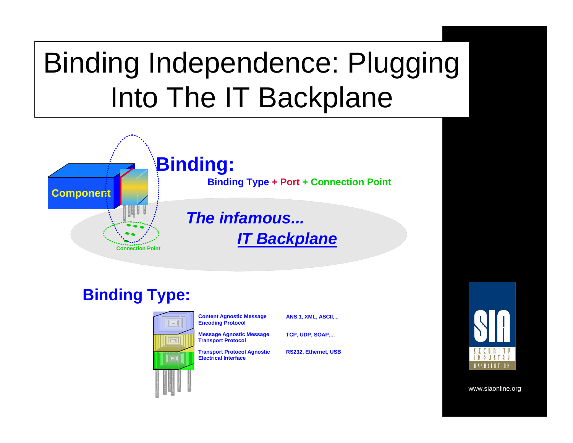# Binding Independence: Plugging Into The IT Backplane



#### **Binding Type:**



**Content Agnostic Message Encoding Protocol**

**Message Agnostic Message** 

**Transport Protocol**

**Transport Protocol Agnostic Electrical Interface**

**ANS.1, XML, ASCII,...**

**TCP, U DP, SOAP,...**

**RS232, Ethernet, USB**

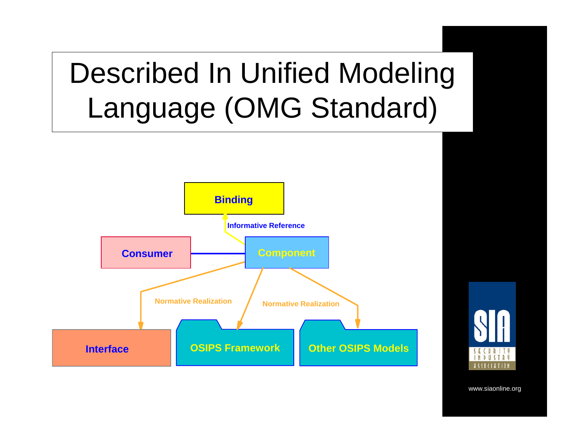# Described In Unified Modeling Language (OMG Standard)



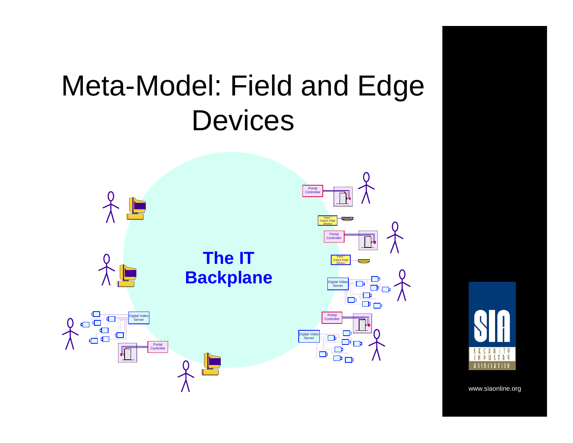### Meta-Model: Field and Edge **Devices**



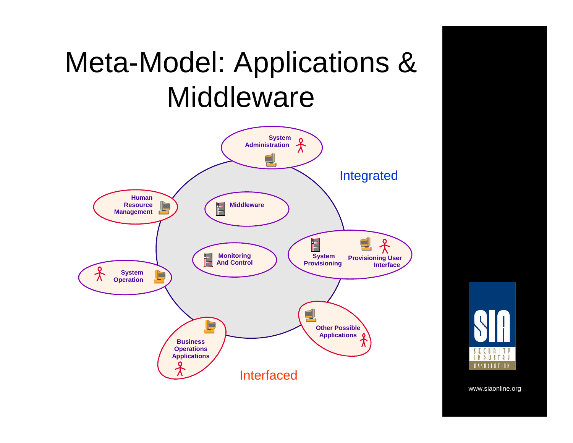### Meta-Model: Applications & **Middleware**



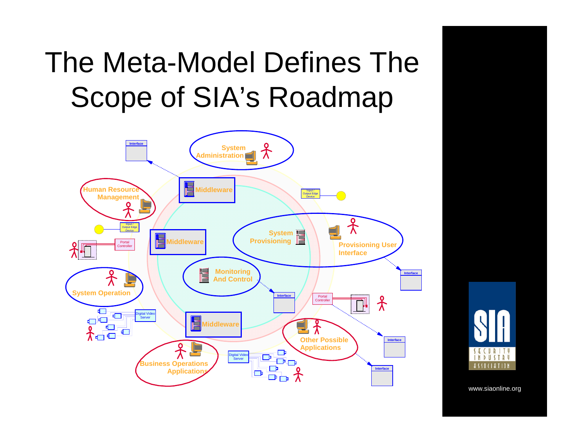## The Meta-Model Defines The Scope of SIA's Roadmap